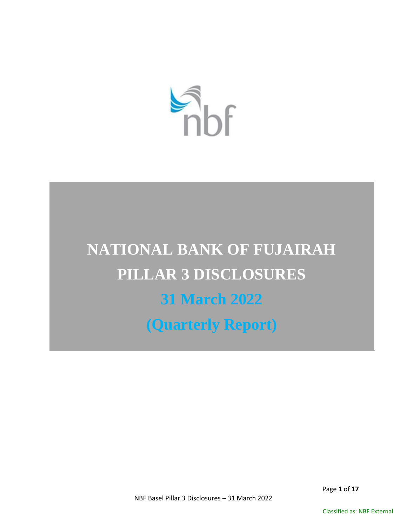

# **NATIONAL BANK OF FUJAIRAH PILLAR 3 DISCLOSURES 31 March 2022 (Quarterly Report)**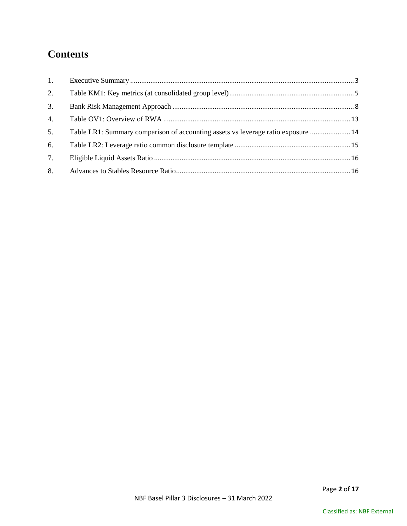# **Contents**

| 1. |                                                                                   |  |
|----|-----------------------------------------------------------------------------------|--|
| 2. |                                                                                   |  |
| 3. |                                                                                   |  |
| 4. |                                                                                   |  |
| 5. | Table LR1: Summary comparison of accounting assets vs leverage ratio exposure  14 |  |
| 6. |                                                                                   |  |
| 7. |                                                                                   |  |
| 8. |                                                                                   |  |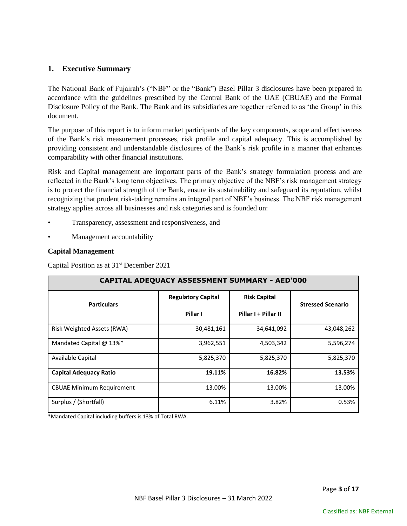# <span id="page-2-0"></span>**1. Executive Summary**

The National Bank of Fujairah's ("NBF" or the "Bank") Basel Pillar 3 disclosures have been prepared in accordance with the guidelines prescribed by the Central Bank of the UAE (CBUAE) and the Formal Disclosure Policy of the Bank. The Bank and its subsidiaries are together referred to as 'the Group' in this document.

The purpose of this report is to inform market participants of the key components, scope and effectiveness of the Bank's risk measurement processes, risk profile and capital adequacy. This is accomplished by providing consistent and understandable disclosures of the Bank's risk profile in a manner that enhances comparability with other financial institutions.

Risk and Capital management are important parts of the Bank's strategy formulation process and are reflected in the Bank's long term objectives. The primary objective of the NBF's risk management strategy is to protect the financial strength of the Bank, ensure its sustainability and safeguard its reputation, whilst recognizing that prudent risk-taking remains an integral part of NBF's business. The NBF risk management strategy applies across all businesses and risk categories and is founded on:

- Transparency, assessment and responsiveness, and
- Management accountability

#### **Capital Management**

Capital Position as at 31st December 2021

| CAPITAL ADEQUACY ASSESSMENT SUMMARY - AED'000 |                                                  |                      |                          |  |  |
|-----------------------------------------------|--------------------------------------------------|----------------------|--------------------------|--|--|
| <b>Particulars</b>                            | <b>Risk Capital</b><br><b>Regulatory Capital</b> |                      | <b>Stressed Scenario</b> |  |  |
|                                               | Pillar I                                         | Pillar I + Pillar II |                          |  |  |
| Risk Weighted Assets (RWA)                    | 30,481,161                                       | 34,641,092           | 43,048,262               |  |  |
| Mandated Capital @ 13%*                       | 3,962,551                                        | 4,503,342            | 5,596,274                |  |  |
| Available Capital                             | 5,825,370                                        | 5,825,370            | 5,825,370                |  |  |
| <b>Capital Adequacy Ratio</b>                 | 19.11%                                           | 16.82%               | 13.53%                   |  |  |
| <b>CBUAE Minimum Requirement</b>              | 13.00%                                           | 13.00%               | 13.00%                   |  |  |
| Surplus / (Shortfall)                         | 6.11%                                            | 3.82%                | 0.53%                    |  |  |

\*Mandated Capital including buffers is 13% of Total RWA.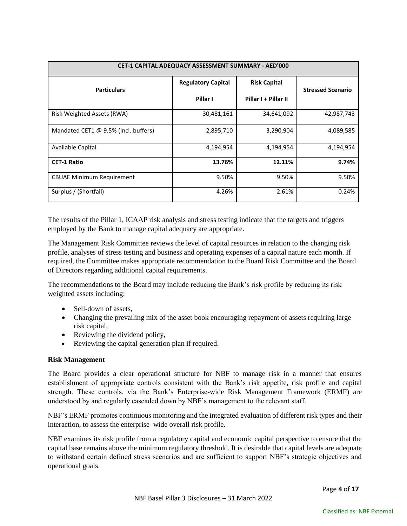| <b>CET-1 CAPITAL ADEQUACY ASSESSMENT SUMMARY - AED'000</b> |                           |                      |                          |  |  |
|------------------------------------------------------------|---------------------------|----------------------|--------------------------|--|--|
| <b>Particulars</b>                                         | <b>Regulatory Capital</b> | <b>Risk Capital</b>  | <b>Stressed Scenario</b> |  |  |
|                                                            | Pillar I                  | Pillar I + Pillar II |                          |  |  |
| <b>Risk Weighted Assets (RWA)</b>                          | 30,481,161                | 34,641,092           | 42,987,743               |  |  |
| Mandated CET1 @ 9.5% (Incl. buffers)                       | 2,895,710                 | 3,290,904            | 4,089,585                |  |  |
| Available Capital                                          | 4,194,954                 | 4,194,954            | 4,194,954                |  |  |
| <b>CET-1 Ratio</b>                                         | 13.76%                    | 12.11%               | 9.74%                    |  |  |
| <b>CBUAE Minimum Requirement</b>                           | 9.50%                     | 9.50%                | 9.50%                    |  |  |
| Surplus / (Shortfall)                                      | 4.26%                     | 2.61%                | 0.24%                    |  |  |

The results of the Pillar 1, ICAAP risk analysis and stress testing indicate that the targets and triggers employed by the Bank to manage capital adequacy are appropriate.

The Management Risk Committee reviews the level of capital resources in relation to the changing risk profile, analyses of stress testing and business and operating expenses of a capital nature each month. If required, the Committee makes appropriate recommendation to the Board Risk Committee and the Board of Directors regarding additional capital requirements.

The recommendations to the Board may include reducing the Bank's risk profile by reducing its risk weighted assets including:

- Sell-down of assets,
- Changing the prevailing mix of the asset book encouraging repayment of assets requiring large risk capital,
- Reviewing the dividend policy,
- Reviewing the capital generation plan if required.

#### **Risk Management**

The Board provides a clear operational structure for NBF to manage risk in a manner that ensures establishment of appropriate controls consistent with the Bank's risk appetite, risk profile and capital strength. These controls, via the Bank's Enterprise-wide Risk Management Framework (ERMF) are understood by and regularly cascaded down by NBF's management to the relevant staff.

NBF's ERMF promotes continuous monitoring and the integrated evaluation of different risk types and their interaction, to assess the enterprise–wide overall risk profile.

NBF examines its risk profile from a regulatory capital and economic capital perspective to ensure that the capital base remains above the minimum regulatory threshold. It is desirable that capital levels are adequate to withstand certain defined stress scenarios and are sufficient to support NBF's strategic objectives and operational goals.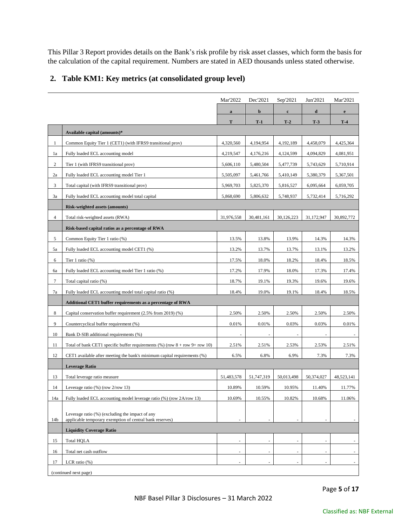This Pillar 3 Report provides details on the Bank's risk profile by risk asset classes, which form the basis for the calculation of the capital requirement. Numbers are stated in AED thousands unless stated otherwise.

# <span id="page-4-0"></span>**2. Table KM1: Key metrics (at consolidated group level)**

|                 |                                                                                                    | Mar'2022                 | Dec'2021   | Sep'2021    | Jun'2021   | Mar'2021     |
|-----------------|----------------------------------------------------------------------------------------------------|--------------------------|------------|-------------|------------|--------------|
|                 |                                                                                                    | $\bf{a}$                 | b          | $\mathbf c$ | d          | $\mathbf{e}$ |
|                 |                                                                                                    | T                        | $T-1$      | $T-2$       | $T-3$      | $T-4$        |
|                 | Available capital (amounts)*                                                                       |                          |            |             |            |              |
| 1               | Common Equity Tier 1 (CET1) (with IFRS9 transitional prov)                                         | 4,320,560                | 4,194,954  | 4,192,189   | 4,458,079  | 4,425,364    |
| 1a              | Fully loaded ECL accounting model                                                                  | 4,219,547                | 4,176,216  | 4,124,599   | 4,094,829  | 4,081,951    |
| $\overline{c}$  | Tier 1 (with IFRS9 transitional prov)                                                              | 5,606,110                | 5,480,504  | 5,477,739   | 5,743,629  | 5,710,914    |
| 2a              | Fully loaded ECL accounting model Tier 1                                                           | 5,505,097                | 5,461,766  | 5,410,149   | 5,380,379  | 5,367,501    |
| 3               | Total capital (with IFRS9 transitional prov)                                                       | 5,969,703                | 5,825,370  | 5,816,527   | 6,095,664  | 6,059,705    |
| 3a              | Fully loaded ECL accounting model total capital                                                    | 5,868,690                | 5,806,632  | 5,748,937   | 5,732,414  | 5,716,292    |
|                 | Risk-weighted assets (amounts)                                                                     |                          |            |             |            |              |
| $\overline{4}$  | Total risk-weighted assets (RWA)                                                                   | 31,976,558               | 30,481,161 | 30,126,223  | 31,172,947 | 30,892,772   |
|                 | Risk-based capital ratios as a percentage of RWA                                                   |                          |            |             |            |              |
| 5               | Common Equity Tier 1 ratio (%)                                                                     | 13.5%                    | 13.8%      | 13.9%       | 14.3%      | 14.3%        |
| 5a              | Fully loaded ECL accounting model CET1 (%)                                                         | 13.2%                    | 13.7%      | 13.7%       | 13.1%      | 13.2%        |
| 6               | Tier 1 ratio $(\%)$                                                                                | 17.5%                    | 18.0%      | 18.2%       | 18.4%      | 18.5%        |
| 6a              | Fully loaded ECL accounting model Tier 1 ratio (%)                                                 | 17.2%                    | 17.9%      | 18.0%       | 17.3%      | 17.4%        |
| $\tau$          | Total capital ratio (%)                                                                            | 18.7%                    | 19.1%      | 19.3%       | 19.6%      | 19.6%        |
| 7a              | Fully loaded ECL accounting model total capital ratio (%)                                          | 18.4%                    | 19.0%      | 19.1%       | 18.4%      | 18.5%        |
|                 | Additional CET1 buffer requirements as a percentage of RWA                                         |                          |            |             |            |              |
| 8               | Capital conservation buffer requirement (2.5% from 2019) (%)                                       | 2.50%                    | 2.50%      | 2.50%       | 2.50%      | 2.50%        |
| 9               | Countercyclical buffer requirement (%)                                                             | 0.01%                    | 0.01%      | 0.03%       | 0.03%      | 0.01%        |
| 10              | Bank D-SIB additional requirements (%)                                                             | $\overline{\phantom{a}}$ |            |             |            |              |
| 11              | Total of bank CET1 specific buffer requirements $(\%)$ (row $8 + \text{row } 9 + \text{row } 10$ ) | 2.51%                    | 2.51%      | 2.53%       | 2.53%      | 2.51%        |
| 12              | CET1 available after meeting the bank's minimum capital requirements (%)                           | 6.5%                     | 6.8%       | 6.9%        | 7.3%       | 7.3%         |
|                 | <b>Leverage Ratio</b>                                                                              |                          |            |             |            |              |
| 13              | Total leverage ratio measure                                                                       | 51,483,578               | 51,747,319 | 50,013,498  | 50,374,027 | 48,523,141   |
| 14              | Leverage ratio $(\%)$ (row $2$ /row 13)                                                            | 10.89%                   | 10.59%     | 10.95%      | 11.40%     | 11.77%       |
| 14a             | Fully loaded ECL accounting model leverage ratio (%) (row 2A/row 13)                               | 10.69%                   | 10.55%     | 10.82%      | 10.68%     | 11.06%       |
|                 | Leverage ratio (%) (excluding the impact of any                                                    |                          |            |             |            |              |
| 14 <sub>b</sub> | applicable temporary exemption of central bank reserves)                                           |                          |            |             |            |              |
|                 | <b>Liquidity Coverage Ratio</b>                                                                    |                          |            |             |            |              |
| 15              | <b>Total HQLA</b>                                                                                  | ÷.                       |            |             |            |              |
| 16              | Total net cash outflow                                                                             | $\sim$                   |            |             |            |              |
| 17              | LCR ratio $(\%)$                                                                                   | $\sim$                   |            |             |            | $\sim$       |
|                 | (continued next page)                                                                              |                          |            |             |            |              |

Page **5** of **17**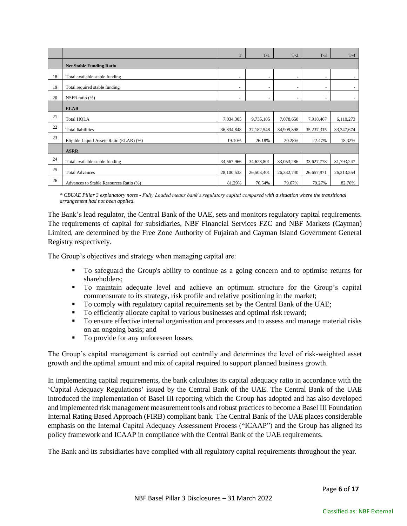|    |                                         | T          | $T-1$      | $T-2$                    | $T-3$                    | $T-4$        |  |
|----|-----------------------------------------|------------|------------|--------------------------|--------------------------|--------------|--|
|    | <b>Net Stable Funding Ratio</b>         |            |            |                          |                          |              |  |
| 18 | Total available stable funding          | ٠          |            | ٠                        | ٠                        | $\sim$       |  |
| 19 | Total required stable funding           | ٠          | $\sim$     | ٠                        | ٠                        | $\sim$       |  |
| 20 | NSFR ratio (%)                          | ٠          | ٠          | $\overline{\phantom{a}}$ | $\overline{\phantom{a}}$ | $\sim$       |  |
|    | <b>ELAR</b>                             |            |            |                          |                          |              |  |
| 21 | <b>Total HQLA</b>                       | 7,034,305  | 9,735,105  | 7,078,650                | 7,918,467                | 6,110,273    |  |
| 22 | <b>Total liabilities</b>                | 36,834,848 | 37,182,548 | 34,909,898               | 35,237,315               | 33, 347, 674 |  |
| 23 | Eligible Liquid Assets Ratio (ELAR) (%) | 19.10%     | 26.18%     | 20.28%                   | 22.47%                   | 18.32%       |  |
|    | <b>ASRR</b>                             |            |            |                          |                          |              |  |
| 24 | Total available stable funding          | 34,567,966 | 34,628,801 | 33,053,286               | 33,627,778               | 31,793,247   |  |
| 25 | <b>Total Advances</b>                   | 28,100,533 | 26,503,401 | 26,332,740               | 26,657,971               | 26,313,554   |  |
| 26 | Advances to Stable Resources Ratio (%)  | 81.29%     | 76.54%     | 79.67%                   | 79.27%                   | 82.76%       |  |

*\* CBUAE Pillar 3 explanatory notes - Fully Loaded means bank's regulatory capital compared with a situation where the transitional arrangement had not been applied.*

The Bank's lead regulator, the Central Bank of the UAE, sets and monitors regulatory capital requirements. The requirements of capital for subsidiaries, NBF Financial Services FZC and NBF Markets (Cayman) Limited, are determined by the Free Zone Authority of Fujairah and Cayman Island Government General Registry respectively.

The Group's objectives and strategy when managing capital are:

- To safeguard the Group's ability to continue as a going concern and to optimise returns for shareholders;
- To maintain adequate level and achieve an optimum structure for the Group's capital commensurate to its strategy, risk profile and relative positioning in the market;
- To comply with regulatory capital requirements set by the Central Bank of the UAE;
- To efficiently allocate capital to various businesses and optimal risk reward;
- $\blacksquare$  To ensure effective internal organisation and processes and to assess and manage material risks on an ongoing basis; and
- To provide for any unforeseen losses.

The Group's capital management is carried out centrally and determines the level of risk-weighted asset growth and the optimal amount and mix of capital required to support planned business growth.

In implementing capital requirements, the bank calculates its capital adequacy ratio in accordance with the 'Capital Adequacy Regulations' issued by the Central Bank of the UAE. The Central Bank of the UAE introduced the implementation of Basel III reporting which the Group has adopted and has also developed and implemented risk management measurement tools and robust practices to become a Basel III Foundation Internal Rating Based Approach (FIRB) compliant bank. The Central Bank of the UAE places considerable emphasis on the Internal Capital Adequacy Assessment Process ("ICAAP") and the Group has aligned its policy framework and ICAAP in compliance with the Central Bank of the UAE requirements.

The Bank and its subsidiaries have complied with all regulatory capital requirements throughout the year.

Page **6** of **17**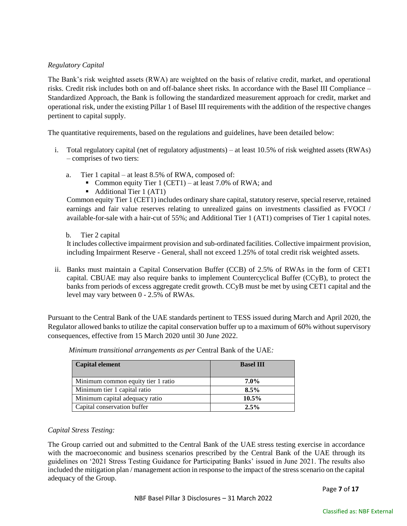#### *Regulatory Capital*

The Bank's risk weighted assets (RWA) are weighted on the basis of relative credit, market, and operational risks. Credit risk includes both on and off-balance sheet risks. In accordance with the Basel III Compliance – Standardized Approach, the Bank is following the standardized measurement approach for credit, market and operational risk, under the existing Pillar 1 of Basel III requirements with the addition of the respective changes pertinent to capital supply.

The quantitative requirements, based on the regulations and guidelines, have been detailed below:

- i. Total regulatory capital (net of regulatory adjustments) at least 10.5% of risk weighted assets (RWAs) – comprises of two tiers:
	- a. Tier 1 capital at least 8.5% of RWA, composed of:
		- Common equity Tier 1 (CET1) at least 7.0% of RWA; and
		- Additional Tier 1 (AT1)

Common equity Tier 1 (CET1) includes ordinary share capital, statutory reserve, special reserve, retained earnings and fair value reserves relating to unrealized gains on investments classified as FVOCI / available-for-sale with a hair-cut of 55%; and Additional Tier 1 (AT1) comprises of Tier 1 capital notes.

#### b. Tier 2 capital

It includes collective impairment provision and sub-ordinated facilities. Collective impairment provision, including Impairment Reserve - General, shall not exceed 1.25% of total credit risk weighted assets.

ii. Banks must maintain a Capital Conservation Buffer (CCB) of 2.5% of RWAs in the form of CET1 capital. CBUAE may also require banks to implement Countercyclical Buffer (CCyB), to protect the banks from periods of excess aggregate credit growth. CCyB must be met by using CET1 capital and the level may vary between 0 - 2.5% of RWAs.

Pursuant to the Central Bank of the UAE standards pertinent to TESS issued during March and April 2020, the Regulator allowed banks to utilize the capital conservation buffer up to a maximum of 60% without supervisory consequences, effective from 15 March 2020 until 30 June 2022.

| <b>Capital element</b>             | <b>Basel III</b> |
|------------------------------------|------------------|
| Minimum common equity tier 1 ratio | $7.0\%$          |
| Minimum tier 1 capital ratio       | $8.5\%$          |
| Minimum capital adequacy ratio     | 10.5%            |
| Capital conservation buffer        | 2.5%             |

*Minimum transitional arrangements as per* Central Bank of the UAE*:*

#### *Capital Stress Testing:*

The Group carried out and submitted to the Central Bank of the UAE stress testing exercise in accordance with the macroeconomic and business scenarios prescribed by the Central Bank of the UAE through its guidelines on '2021 Stress Testing Guidance for Participating Banks' issued in June 2021. The results also included the mitigation plan / management action in response to the impact of the stress scenario on the capital adequacy of the Group.

Page **7** of **17**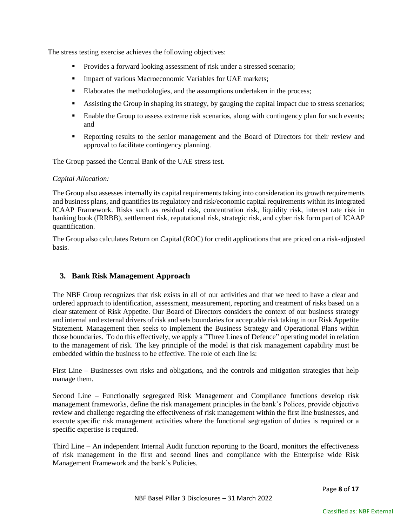The stress testing exercise achieves the following objectives:

- **Provides a forward looking assessment of risk under a stressed scenario;**
- **Impact of various Macroeconomic Variables for UAE markets;**
- Elaborates the methodologies, and the assumptions undertaken in the process;
- **Assisting the Group in shaping its strategy, by gauging the capital impact due to stress scenarios;**
- **Enable the Group to assess extreme risk scenarios, along with contingency plan for such events;** and
- Reporting results to the senior management and the Board of Directors for their review and approval to facilitate contingency planning.

The Group passed the Central Bank of the UAE stress test.

#### *Capital Allocation:*

The Group also assesses internally its capital requirements taking into consideration its growth requirements and business plans, and quantifies its regulatory and risk/economic capital requirements within its integrated ICAAP Framework. Risks such as residual risk, concentration risk, liquidity risk, interest rate risk in banking book (IRRBB), settlement risk, reputational risk, strategic risk, and cyber risk form part of ICAAP quantification.

The Group also calculates Return on Capital (ROC) for credit applications that are priced on a risk-adjusted basis.

# <span id="page-7-0"></span>**3. Bank Risk Management Approach**

The NBF Group recognizes that risk exists in all of our activities and that we need to have a clear and ordered approach to identification, assessment, measurement, reporting and treatment of risks based on a clear statement of Risk Appetite. Our Board of Directors considers the context of our business strategy and internal and external drivers of risk and sets boundaries for acceptable risk taking in our Risk Appetite Statement. Management then seeks to implement the Business Strategy and Operational Plans within those boundaries. To do this effectively, we apply a "Three Lines of Defence" operating model in relation to the management of risk. The key principle of the model is that risk management capability must be embedded within the business to be effective. The role of each line is:

First Line – Businesses own risks and obligations, and the controls and mitigation strategies that help manage them.

Second Line – Functionally segregated Risk Management and Compliance functions develop risk management frameworks, define the risk management principles in the bank's Polices, provide objective review and challenge regarding the effectiveness of risk management within the first line businesses, and execute specific risk management activities where the functional segregation of duties is required or a specific expertise is required.

Third Line – An independent Internal Audit function reporting to the Board, monitors the effectiveness of risk management in the first and second lines and compliance with the Enterprise wide Risk Management Framework and the bank's Policies.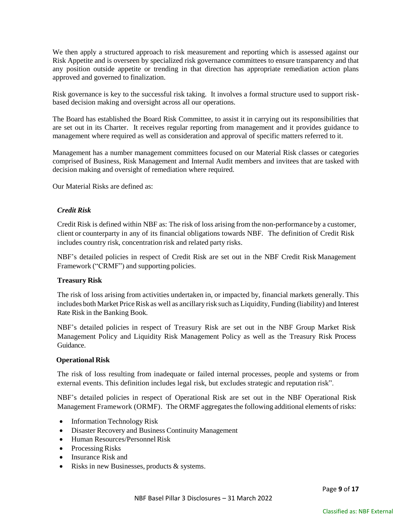We then apply a structured approach to risk measurement and reporting which is assessed against our Risk Appetite and is overseen by specialized risk governance committees to ensure transparency and that any position outside appetite or trending in that direction has appropriate remediation action plans approved and governed to finalization.

Risk governance is key to the successful risk taking. It involves a formal structure used to support riskbased decision making and oversight across all our operations.

The Board has established the Board Risk Committee, to assist it in carrying out its responsibilities that are set out in its Charter. It receives regular reporting from management and it provides guidance to management where required as well as consideration and approval of specific matters referred to it.

Management has a number management committees focused on our Material Risk classes or categories comprised of Business, Risk Management and Internal Audit members and invitees that are tasked with decision making and oversight of remediation where required.

Our Material Risks are defined as:

#### *Credit Risk*

Credit Risk is defined within NBF as: The risk of loss arising from the non-performance by a customer, client or counterparty in any of its financial obligations towards NBF. The definition of Credit Risk includes country risk, concentration risk and related party risks.

NBF's detailed policies in respect of Credit Risk are set out in the NBF Credit Risk Management Framework ("CRMF") and supporting policies.

#### **Treasury Risk**

The risk of loss arising from activities undertaken in, or impacted by, financial markets generally. This includes both Market Price Risk as well as ancillary risk such as Liquidity, Funding (liability) and Interest Rate Risk in the Banking Book.

NBF's detailed policies in respect of Treasury Risk are set out in the NBF Group Market Risk Management Policy and Liquidity Risk Management Policy as well as the Treasury Risk Process Guidance.

#### **Operational Risk**

The risk of loss resulting from inadequate or failed internal processes, people and systems or from external events. This definition includes legal risk, but excludes strategic and reputation risk".

NBF's detailed policies in respect of Operational Risk are set out in the NBF Operational Risk Management Framework (ORMF). The ORMF aggregates the following additional elements of risks:

- Information Technology Risk
- Disaster Recovery and Business Continuity Management
- Human Resources/Personnel Risk
- Processing Risks
- Insurance Risk and
- Risks in new Businesses, products & systems.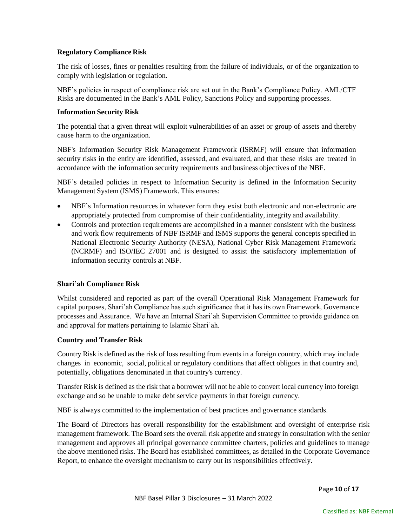#### **Regulatory Compliance Risk**

The risk of losses, fines or penalties resulting from the failure of individuals, or of the organization to comply with legislation or regulation.

NBF's policies in respect of compliance risk are set out in the Bank's Compliance Policy. AML/CTF Risks are documented in the Bank's AML Policy, Sanctions Policy and supporting processes.

#### **Information Security Risk**

The potential that a given threat will exploit vulnerabilities of an asset or group of assets and thereby cause harm to the organization.

NBF's Information Security Risk Management Framework (ISRMF) will ensure that information security risks in the entity are identified, assessed, and evaluated, and that these risks are treated in accordance with the information security requirements and business objectives of the NBF.

NBF's detailed policies in respect to Information Security is defined in the Information Security Management System (ISMS) Framework. This ensures:

- NBF's Information resources in whatever form they exist both electronic and non-electronic are appropriately protected from compromise of their confidentiality, integrity and availability.
- Controls and protection requirements are accomplished in a manner consistent with the business and work flow requirements of NBF ISRMF and ISMS supports the general concepts specified in National Electronic Security Authority (NESA), National Cyber Risk Management Framework (NCRMF) and ISO/IEC 27001 and is designed to assist the satisfactory implementation of information security controls at NBF.

# **Shari'ah Compliance Risk**

Whilst considered and reported as part of the overall Operational Risk Management Framework for capital purposes, Shari'ah Compliance has such significance that it has its own Framework, Governance processes and Assurance. We have an Internal Shari'ah Supervision Committee to provide guidance on and approval for matters pertaining to Islamic Shari'ah.

# **Country and Transfer Risk**

Country Risk is defined as the risk of loss resulting from events in a foreign country, which may include changes in economic, social, political or regulatory conditions that affect obligors in that country and, potentially, obligations denominated in that country's currency.

Transfer Risk is defined as the risk that a borrower will not be able to convert local currency into foreign exchange and so be unable to make debt service payments in that foreign currency.

NBF is always committed to the implementation of best practices and governance standards.

The Board of Directors has overall responsibility for the establishment and oversight of enterprise risk management framework. The Board sets the overall risk appetite and strategy in consultation with the senior management and approves all principal governance committee charters, policies and guidelines to manage the above mentioned risks. The Board has established committees, as detailed in the Corporate Governance Report, to enhance the oversight mechanism to carry out its responsibilities effectively.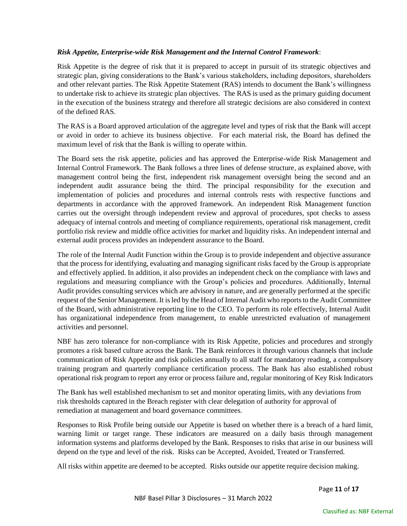#### *Risk Appetite, Enterprise-wide Risk Management and the Internal Control Framework*:

Risk Appetite is the degree of risk that it is prepared to accept in pursuit of its strategic objectives and strategic plan, giving considerations to the Bank's various stakeholders, including depositors, shareholders and other relevant parties. The Risk Appetite Statement (RAS) intends to document the Bank's willingness to undertake risk to achieve its strategic plan objectives. The RAS is used as the primary guiding document in the execution of the business strategy and therefore all strategic decisions are also considered in context of the defined RAS.

The RAS is a Board approved articulation of the aggregate level and types of risk that the Bank will accept or avoid in order to achieve its business objective. For each material risk, the Board has defined the maximum level of risk that the Bank is willing to operate within.

The Board sets the risk appetite, policies and has approved the Enterprise-wide Risk Management and Internal Control Framework. The Bank follows a three lines of defense structure, as explained above, with management control being the first, independent risk management oversight being the second and an independent audit assurance being the third. The principal responsibility for the execution and implementation of policies and procedures and internal controls rests with respective functions and departments in accordance with the approved framework. An independent Risk Management function carries out the oversight through independent review and approval of procedures, spot checks to assess adequacy of internal controls and meeting of compliance requirements, operational risk management, credit portfolio risk review and middle office activities for market and liquidity risks. An independent internal and external audit process provides an independent assurance to the Board.

The role of the Internal Audit Function within the Group is to provide independent and objective assurance that the process for identifying, evaluating and managing significant risks faced by the Group is appropriate and effectively applied. In addition, it also provides an independent check on the compliance with laws and regulations and measuring compliance with the Group's policies and procedures. Additionally, Internal Audit provides consulting services which are advisory in nature, and are generally performed at the specific request of the Senior Management. It is led by the Head of Internal Audit who reports to the Audit Committee of the Board, with administrative reporting line to the CEO. To perform its role effectively, Internal Audit has organizational independence from management, to enable unrestricted evaluation of management activities and personnel.

NBF has zero tolerance for non-compliance with its Risk Appetite, policies and procedures and strongly promotes a risk based culture across the Bank. The Bank reinforces it through various channels that include communication of Risk Appetite and risk policies annually to all staff for mandatory reading, a compulsory training program and quarterly compliance certification process. The Bank has also established robust operational risk program to report any error or process failure and, regular monitoring of Key Risk Indicators

The Bank has well established mechanism to set and monitor operating limits, with any deviations from risk thresholds captured in the Breach register with clear delegation of authority for approval of remediation at management and board governance committees.

Responses to Risk Profile being outside our Appetite is based on whether there is a breach of a hard limit, warning limit or target range. These indicators are measured on a daily basis through management information systems and platforms developed by the Bank. Responses to risks that arise in our business will depend on the type and level of the risk. Risks can be Accepted, Avoided, Treated or Transferred.

All risks within appetite are deemed to be accepted. Risks outside our appetite require decision making.

Page **11** of **17**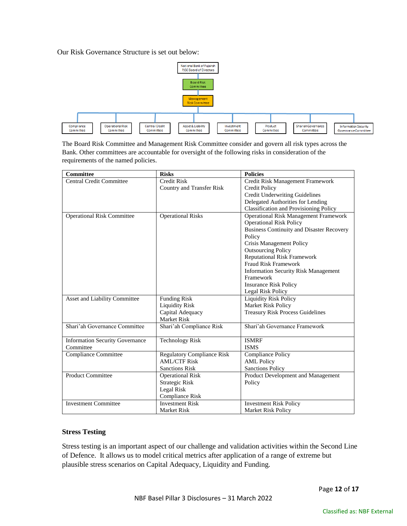Our Risk Governance Structure is set out below:



The Board Risk Committee and Management Risk Committee consider and govern all risk types across the Bank. Other committees are accountable for oversight of the following risks in consideration of the requirements of the named policies.

| <b>Committee</b>                       | <b>Risks</b>                      | <b>Policies</b>                                  |
|----------------------------------------|-----------------------------------|--------------------------------------------------|
| <b>Central Credit Committee</b>        | <b>Credit Risk</b>                | Credit Risk Management Framework                 |
|                                        | Country and Transfer Risk         | <b>Credit Policy</b>                             |
|                                        |                                   | <b>Credit Underwriting Guidelines</b>            |
|                                        |                                   | Delegated Authorities for Lending                |
|                                        |                                   | <b>Classification and Provisioning Policy</b>    |
| <b>Operational Risk Committee</b>      | <b>Operational Risks</b>          | <b>Operational Risk Management Framework</b>     |
|                                        |                                   | <b>Operational Risk Policy</b>                   |
|                                        |                                   | <b>Business Continuity and Disaster Recovery</b> |
|                                        |                                   | Policy                                           |
|                                        |                                   | Crisis Management Policy                         |
|                                        |                                   | <b>Outsourcing Policy</b>                        |
|                                        |                                   | <b>Reputational Risk Framework</b>               |
|                                        |                                   | <b>Fraud Risk Framework</b>                      |
|                                        |                                   | <b>Information Security Risk Management</b>      |
|                                        |                                   | Framework                                        |
|                                        |                                   | <b>Insurance Risk Policy</b>                     |
|                                        |                                   | Legal Risk Policy                                |
| Asset and Liability Committee          | <b>Funding Risk</b>               | <b>Liquidity Risk Policy</b>                     |
|                                        | <b>Liquidity Risk</b>             | Market Risk Policy                               |
|                                        | Capital Adequacy                  | <b>Treasury Risk Process Guidelines</b>          |
|                                        | <b>Market Risk</b>                |                                                  |
| Shari'ah Governance Committee          | Shari'ah Compliance Risk          | Shari'ah Governance Framework                    |
|                                        |                                   |                                                  |
| <b>Information Security Governance</b> | <b>Technology Risk</b>            | <b>ISMRF</b>                                     |
| Committee                              |                                   | <b>ISMS</b>                                      |
| Compliance Committee                   | <b>Regulatory Compliance Risk</b> | <b>Compliance Policy</b>                         |
|                                        | <b>AML/CTF Risk</b>               | <b>AML Policy</b>                                |
|                                        | <b>Sanctions Risk</b>             | <b>Sanctions Policy</b>                          |
| <b>Product Committee</b>               | <b>Operational Risk</b>           | Product Development and Management               |
|                                        | <b>Strategic Risk</b>             | Policy                                           |
|                                        | Legal Risk                        |                                                  |
|                                        | Compliance Risk                   |                                                  |
| <b>Investment Committee</b>            | <b>Investment Risk</b>            | <b>Investment Risk Policy</b>                    |
|                                        | <b>Market Risk</b>                | <b>Market Risk Policy</b>                        |

#### **Stress Testing**

Stress testing is an important aspect of our challenge and validation activities within the Second Line of Defence. It allows us to model critical metrics after application of a range of extreme but plausible stress scenarios on Capital Adequacy, Liquidity and Funding.

Page **12** of **17**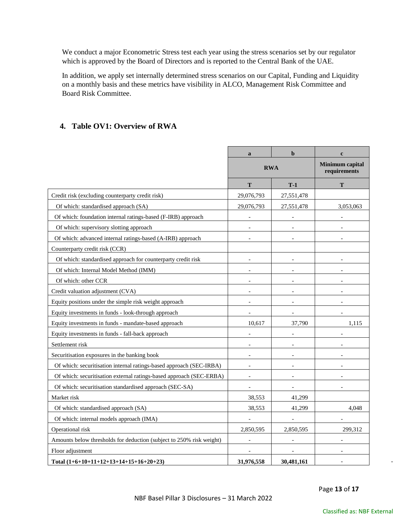We conduct a major Econometric Stress test each year using the stress scenarios set by our regulator which is approved by the Board of Directors and is reported to the Central Bank of the UAE.

In addition, we apply set internally determined stress scenarios on our Capital, Funding and Liquidity on a monthly basis and these metrics have visibility in ALCO, Management Risk Committee and Board Risk Committee.

# <span id="page-12-0"></span>**4. Table OV1: Overview of RWA**

|                                                                      | $\mathbf{a}$             | $\mathbf b$ | $\mathbf c$ |
|----------------------------------------------------------------------|--------------------------|-------------|-------------|
|                                                                      |                          | <b>RWA</b>  |             |
|                                                                      | T                        | $T-1$       | T           |
| Credit risk (excluding counterparty credit risk)                     | 29,076,793               | 27,551,478  |             |
| Of which: standardised approach (SA)                                 | 29,076,793               | 27,551,478  | 3,053,063   |
| Of which: foundation internal ratings-based (F-IRB) approach         | $\sim$                   |             |             |
| Of which: supervisory slotting approach                              | $\sim$                   |             |             |
| Of which: advanced internal ratings-based (A-IRB) approach           |                          |             |             |
| Counterparty credit risk (CCR)                                       |                          |             |             |
| Of which: standardised approach for counterparty credit risk         |                          |             |             |
| Of which: Internal Model Method (IMM)                                | $\overline{\phantom{a}}$ |             |             |
| Of which: other CCR                                                  |                          |             |             |
| Credit valuation adjustment (CVA)                                    | $\sim$                   |             |             |
| Equity positions under the simple risk weight approach               | $\overline{\phantom{a}}$ |             |             |
| Equity investments in funds - look-through approach                  |                          |             |             |
| Equity investments in funds - mandate-based approach                 | 10,617                   | 37,790      | 1,115       |
| Equity investments in funds - fall-back approach                     | $\overline{a}$           |             |             |
| Settlement risk                                                      | $\blacksquare$           |             |             |
| Securitisation exposures in the banking book                         | $\sim$                   |             |             |
| Of which: securitisation internal ratings-based approach (SEC-IRBA)  | $\overline{\phantom{a}}$ |             |             |
| Of which: securitisation external ratings-based approach (SEC-ERBA)  | $\sim$                   |             |             |
| Of which: securitisation standardised approach (SEC-SA)              | $\overline{a}$           |             |             |
| Market risk                                                          | 38,553                   | 41,299      |             |
| Of which: standardised approach (SA)                                 | 38,553                   | 41,299      | 4,048       |
| Of which: internal models approach (IMA)                             |                          |             |             |
| Operational risk                                                     | 2,850,595                | 2,850,595   | 299,312     |
| Amounts below thresholds for deduction (subject to 250% risk weight) |                          |             |             |
| Floor adjustment                                                     |                          |             |             |
| Total $(1+6+10+11+12+13+14+15+16+20+23)$                             | 31.976.558               | 30.481.161  |             |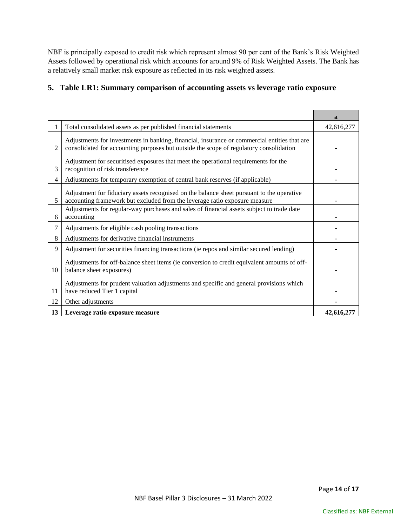NBF is principally exposed to credit risk which represent almost 90 per cent of the Bank's Risk Weighted Assets followed by operational risk which accounts for around 9% of Risk Weighted Assets. The Bank has a relatively small market risk exposure as reflected in its risk weighted assets.

# <span id="page-13-0"></span>**5. Table LR1: Summary comparison of accounting assets vs leverage ratio exposure**

|                |                                                                                                                                                                                        | $\mathbf{a}$ |
|----------------|----------------------------------------------------------------------------------------------------------------------------------------------------------------------------------------|--------------|
|                | Total consolidated assets as per published financial statements                                                                                                                        | 42,616,277   |
| $\overline{c}$ | Adjustments for investments in banking, financial, insurance or commercial entities that are<br>consolidated for accounting purposes but outside the scope of regulatory consolidation |              |
| 3              | Adjustment for securitised exposures that meet the operational requirements for the<br>recognition of risk transference                                                                |              |
| 4              | Adjustments for temporary exemption of central bank reserves (if applicable)                                                                                                           |              |
| 5              | Adjustment for fiduciary assets recognised on the balance sheet pursuant to the operative<br>accounting framework but excluded from the leverage ratio exposure measure                |              |
| 6              | Adjustments for regular-way purchases and sales of financial assets subject to trade date<br>accounting                                                                                |              |
| 7              | Adjustments for eligible cash pooling transactions                                                                                                                                     |              |
| 8              | Adjustments for derivative financial instruments                                                                                                                                       |              |
| 9              | Adjustment for securities financing transactions (ie repos and similar secured lending)                                                                                                |              |
| 10             | Adjustments for off-balance sheet items (ie conversion to credit equivalent amounts of off-<br>balance sheet exposures)                                                                |              |
| 11             | Adjustments for prudent valuation adjustments and specific and general provisions which<br>have reduced Tier 1 capital                                                                 |              |
| 12             | Other adjustments                                                                                                                                                                      |              |
| 13             | Leverage ratio exposure measure                                                                                                                                                        | 42,616,277   |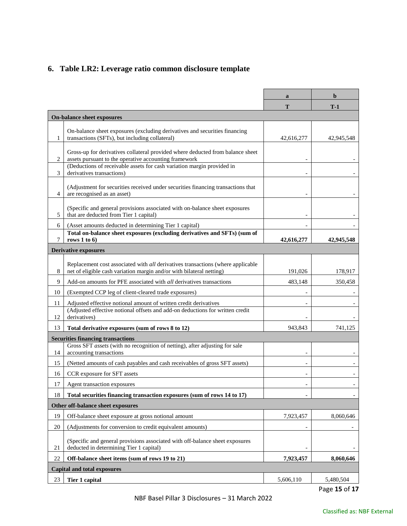# <span id="page-14-0"></span>**6. Table LR2: Leverage ratio common disclosure template**

|                |                                                                                                                                                         | a                        | b                        |
|----------------|---------------------------------------------------------------------------------------------------------------------------------------------------------|--------------------------|--------------------------|
|                |                                                                                                                                                         | T                        | $T-1$                    |
|                | On-balance sheet exposures                                                                                                                              |                          |                          |
| 1              | On-balance sheet exposures (excluding derivatives and securities financing<br>transactions (SFTs), but including collateral)                            | 42,616,277               | 42,945,548               |
| $\overline{c}$ | Gross-up for derivatives collateral provided where deducted from balance sheet<br>assets pursuant to the operative accounting framework                 |                          |                          |
| 3              | (Deductions of receivable assets for cash variation margin provided in<br>derivatives transactions)                                                     |                          |                          |
| $\overline{4}$ | (Adjustment for securities received under securities financing transactions that<br>are recognised as an asset)                                         |                          |                          |
| 5              | (Specific and general provisions associated with on-balance sheet exposures<br>that are deducted from Tier 1 capital)                                   |                          |                          |
| 6              | (Asset amounts deducted in determining Tier 1 capital)                                                                                                  |                          |                          |
| 7              | Total on-balance sheet exposures (excluding derivatives and SFTs) (sum of<br>rows 1 to $6$                                                              | 42,616,277               | 42,945,548               |
|                | <b>Derivative exposures</b>                                                                                                                             |                          |                          |
| 8              | Replacement cost associated with all derivatives transactions (where applicable<br>net of eligible cash variation margin and/or with bilateral netting) | 191.026                  | 178,917                  |
| 9              | Add-on amounts for PFE associated with all derivatives transactions                                                                                     | 483,148                  | 350,458                  |
| 10             | (Exempted CCP leg of client-cleared trade exposures)                                                                                                    |                          |                          |
| 11             | Adjusted effective notional amount of written credit derivatives<br>(Adjusted effective notional offsets and add-on deductions for written credit       |                          |                          |
| 12             | derivatives)                                                                                                                                            |                          |                          |
| 13             | Total derivative exposures (sum of rows 8 to 12)                                                                                                        | 943,843                  | 741,125                  |
| 14             | <b>Securities financing transactions</b><br>Gross SFT assets (with no recognition of netting), after adjusting for sale<br>accounting transactions      |                          |                          |
| 15             | (Netted amounts of cash payables and cash receivables of gross SFT assets)                                                                              |                          |                          |
| 16             | CCR exposure for SFT assets                                                                                                                             | $\overline{\phantom{a}}$ | $\overline{\phantom{a}}$ |
| 17             | Agent transaction exposures                                                                                                                             |                          |                          |
| 18             | Total securities financing transaction exposures (sum of rows 14 to 17)                                                                                 |                          |                          |
|                | Other off-balance sheet exposures                                                                                                                       |                          |                          |
| 19             | Off-balance sheet exposure at gross notional amount                                                                                                     | 7,923,457                | 8,060,646                |
| 20             | (Adjustments for conversion to credit equivalent amounts)                                                                                               |                          |                          |
| 21             | (Specific and general provisions associated with off-balance sheet exposures<br>deducted in determining Tier 1 capital)                                 |                          |                          |
| 22             | Off-balance sheet items (sum of rows 19 to 21)                                                                                                          | 7,923,457                | 8,060,646                |
|                | <b>Capital and total exposures</b>                                                                                                                      |                          |                          |
| 23             | <b>Tier 1 capital</b>                                                                                                                                   | 5,606,110                | 5,480,504<br>DoseAFA7    |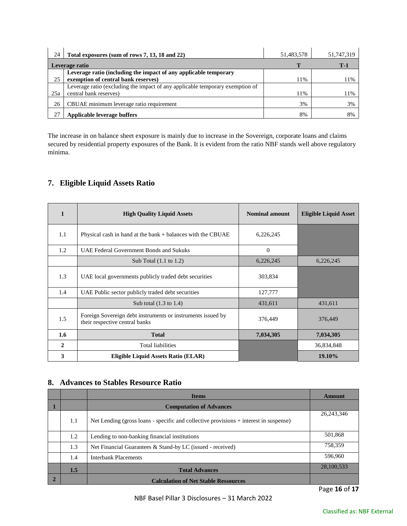| 24  | Total exposures (sum of rows 7, 13, 18 and 22)                                                          | 51,483,578 | 51,747,319 |
|-----|---------------------------------------------------------------------------------------------------------|------------|------------|
|     | Leverage ratio                                                                                          |            | T-1        |
|     | Leverage ratio (including the impact of any applicable temporary                                        |            |            |
| 25  | exemption of central bank reserves)                                                                     | 11%        | 11%        |
| 25a | Leverage ratio (excluding the impact of any applicable temporary exemption of<br>central bank reserves) | 11%        | 11%        |
| 26  | CBUAE minimum leverage ratio requirement                                                                | 3%         | 3%         |
|     | Applicable leverage buffers                                                                             | 8%         | 8%         |

The increase in on balance sheet exposure is mainly due to increase in the Sovereign, corporate loans and claims secured by residential property exposures of the Bank. It is evident from the ratio NBF stands well above regulatory minima.

# <span id="page-15-0"></span>**7. Eligible Liquid Assets Ratio**

| $\mathbf{1}$ | <b>High Quality Liquid Assets</b>                                                             | <b>Nominal amount</b> | <b>Eligible Liquid Asset</b> |
|--------------|-----------------------------------------------------------------------------------------------|-----------------------|------------------------------|
| 1.1          | Physical cash in hand at the bank $+$ balances with the CBUAE<br>6,226,245                    |                       |                              |
| 1.2          | UAE Federal Government Bonds and Sukuks                                                       | $\Omega$              |                              |
|              | Sub Total $(1.1 \text{ to } 1.2)$                                                             | 6,226,245             | 6,226,245                    |
| 1.3          | UAE local governments publicly traded debt securities                                         | 303,834               |                              |
| 1.4          | UAE Public sector publicly traded debt securities                                             | 127,777               |                              |
|              | Sub total $(1.3 \text{ to } 1.4)$                                                             | 431,611               | 431,611                      |
| 1.5          | Foreign Sovereign debt instruments or instruments issued by<br>their respective central banks | 376,449               | 376,449                      |
| 1.6          | <b>Total</b>                                                                                  | 7,034,305             | 7,034,305                    |
| $\mathbf{2}$ | <b>Total liabilities</b>                                                                      |                       | 36,834,848                   |
| 3            | Eligible Liquid Assets Ratio (ELAR)                                                           |                       | 19.10%                       |

# <span id="page-15-1"></span>**8. Advances to Stables Resource Ratio**

|     | <b>Items</b>                                                                          | Amount       |
|-----|---------------------------------------------------------------------------------------|--------------|
|     | <b>Computation of Advances</b>                                                        |              |
| 1.1 | Net Lending (gross loans - specific and collective provisions + interest in suspense) | 26, 243, 346 |
| 1.2 | Lending to non-banking financial institutions                                         | 501.868      |
| 1.3 | Net Financial Guarantees & Stand-by LC (issued - received)                            | 758,359      |
| 1.4 | <b>Interbank Placements</b>                                                           | 596,960      |
| 1.5 | <b>Total Advances</b>                                                                 | 28,100,533   |
|     | <b>Calculation of Net Stable Ressources</b>                                           |              |

Page **16** of **17**

NBF Basel Pillar 3 Disclosures – 31 March 2022